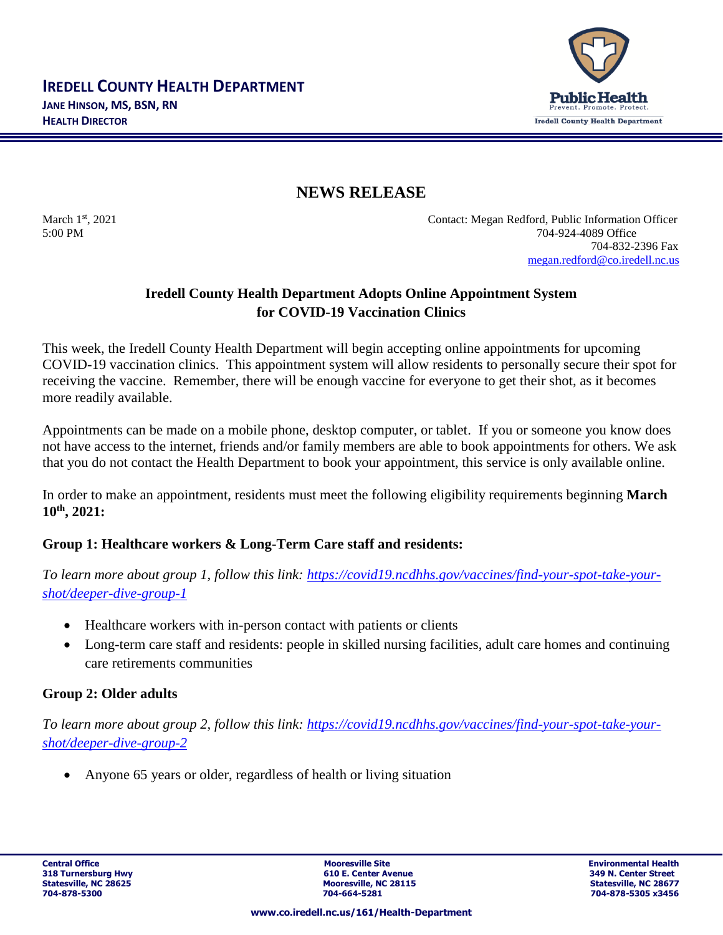

## **NEWS RELEASE**

March 1st, 2021 Contact: Megan Redford, Public Information Officer 5:00 PM 704-924-4089 Office 704-832-2396 Fax [megan.redford@co.iredell.nc.us](mailto:megan.redford@co.iredell.nc.us)

## **Iredell County Health Department Adopts Online Appointment System for COVID-19 Vaccination Clinics**

This week, the Iredell County Health Department will begin accepting online appointments for upcoming COVID-19 vaccination clinics. This appointment system will allow residents to personally secure their spot for receiving the vaccine. Remember, there will be enough vaccine for everyone to get their shot, as it becomes more readily available.

Appointments can be made on a mobile phone, desktop computer, or tablet. If you or someone you know does not have access to the internet, friends and/or family members are able to book appointments for others. We ask that you do not contact the Health Department to book your appointment, this service is only available online.

In order to make an appointment, residents must meet the following eligibility requirements beginning **March 10th , 2021:**

## **Group 1: Healthcare workers & Long-Term Care staff and residents:**

*To learn more about group 1, follow this link: [https://covid19.ncdhhs.gov/vaccines/find-your-spot-take-your](https://covid19.ncdhhs.gov/vaccines/find-your-spot-take-your-shot/deeper-dive-group-1)[shot/deeper-dive-group-1](https://covid19.ncdhhs.gov/vaccines/find-your-spot-take-your-shot/deeper-dive-group-1)*

- Healthcare workers with in-person contact with patients or clients
- Long-term care staff and residents: people in skilled nursing facilities, adult care homes and continuing care retirements communities

### **Group 2: Older adults**

*To learn more about group 2, follow this link: [https://covid19.ncdhhs.gov/vaccines/find-your-spot-take-your](https://covid19.ncdhhs.gov/vaccines/find-your-spot-take-your-shot/deeper-dive-group-2)[shot/deeper-dive-group-2](https://covid19.ncdhhs.gov/vaccines/find-your-spot-take-your-shot/deeper-dive-group-2)*

• Anyone 65 years or older, regardless of health or living situation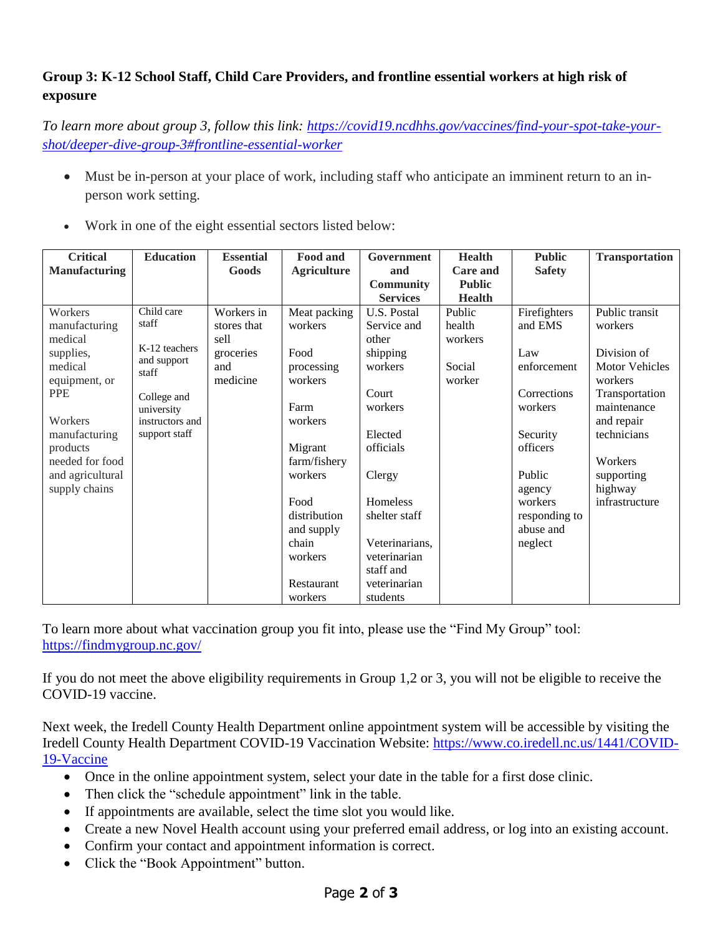# **Group 3: K-12 School Staff, Child Care Providers, and frontline essential workers at high risk of exposure**

*To learn more about group 3, follow this link: [https://covid19.ncdhhs.gov/vaccines/find-your-spot-take-your](https://covid19.ncdhhs.gov/vaccines/find-your-spot-take-your-shot/deeper-dive-group-3#frontline-essential-worker)[shot/deeper-dive-group-3#frontline-essential-worker](https://covid19.ncdhhs.gov/vaccines/find-your-spot-take-your-shot/deeper-dive-group-3#frontline-essential-worker)*

• Must be in-person at your place of work, including staff who anticipate an imminent return to an inperson work setting.

|  | Work in one of the eight essential sectors listed below: |  |  |  |
|--|----------------------------------------------------------|--|--|--|
|  |                                                          |  |  |  |

| <b>Critical</b>      | <b>Education</b>                      | <b>Essential</b> | Food and           | <b>Government</b> | <b>Health</b> | <b>Public</b> | <b>Transportation</b> |
|----------------------|---------------------------------------|------------------|--------------------|-------------------|---------------|---------------|-----------------------|
| <b>Manufacturing</b> |                                       | Goods            | <b>Agriculture</b> | and               | Care and      | <b>Safety</b> |                       |
|                      |                                       |                  |                    | <b>Community</b>  | <b>Public</b> |               |                       |
|                      |                                       |                  |                    | <b>Services</b>   | <b>Health</b> |               |                       |
| Workers              | Child care<br>staff                   | Workers in       | Meat packing       | U.S. Postal       | Public        | Firefighters  | Public transit        |
| manufacturing        |                                       | stores that      | workers            | Service and       | health        | and EMS       | workers               |
| medical              | K-12 teachers<br>and support<br>staff | sell             |                    | other             | workers       |               |                       |
| supplies,            |                                       | groceries        | Food               | shipping          |               | Law           | Division of           |
| medical              |                                       | and              | processing         | workers           | Social        | enforcement   | <b>Motor Vehicles</b> |
| equipment, or        |                                       | medicine         | workers            |                   | worker        |               | workers               |
| <b>PPE</b>           | College and                           |                  |                    | Court             |               | Corrections   | Transportation        |
|                      | university                            |                  | Farm               | workers           |               | workers       | maintenance           |
| Workers              | instructors and                       |                  | workers            |                   |               |               | and repair            |
| manufacturing        | support staff                         |                  |                    | Elected           |               | Security      | technicians           |
| products             |                                       |                  | Migrant            | officials         |               | officers      |                       |
| needed for food      |                                       |                  | farm/fishery       |                   |               |               | Workers               |
| and agricultural     |                                       |                  | workers            | Clergy            |               | Public        | supporting            |
| supply chains        |                                       |                  |                    |                   |               | agency        | highway               |
|                      |                                       |                  | Food               | Homeless          |               | workers       | infrastructure        |
|                      |                                       |                  | distribution       | shelter staff     |               | responding to |                       |
|                      |                                       |                  | and supply         |                   |               | abuse and     |                       |
|                      |                                       |                  | chain              | Veterinarians,    |               | neglect       |                       |
|                      |                                       |                  | workers            | veterinarian      |               |               |                       |
|                      |                                       |                  |                    | staff and         |               |               |                       |
|                      |                                       |                  | Restaurant         | veterinarian      |               |               |                       |
|                      |                                       |                  | workers            | students          |               |               |                       |

To learn more about what vaccination group you fit into, please use the "Find My Group" tool: <https://findmygroup.nc.gov/>

If you do not meet the above eligibility requirements in Group 1,2 or 3, you will not be eligible to receive the COVID-19 vaccine.

Next week, the Iredell County Health Department online appointment system will be accessible by visiting the Iredell County Health Department COVID-19 Vaccination Website: [https://www.co.iredell.nc.us/1441/COVID-](https://www.co.iredell.nc.us/1441/COVID-19-Vaccine)[19-Vaccine](https://www.co.iredell.nc.us/1441/COVID-19-Vaccine) 

- Once in the online appointment system, select your date in the table for a first dose clinic.
- Then click the "schedule appointment" link in the table.
- If appointments are available, select the time slot you would like.
- Create a new Novel Health account using your preferred email address, or log into an existing account.
- Confirm your contact and appointment information is correct.
- Click the "Book Appointment" button.